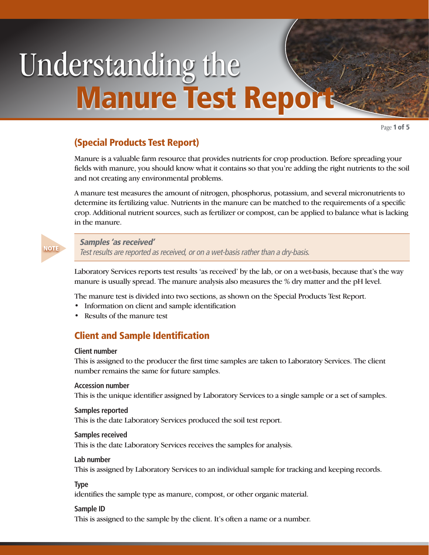# Understanding the Manure Test Report

Page 1 of 5

# (Special Products Test Report)

Manure is a valuable farm resource that provides nutrients for crop production. Before spreading your fields with manure, you should know what it contains so that you're adding the right nutrients to the soil and not creating any environmental problems.

A manure test measures the amount of nitrogen, phosphorus, potassium, and several micronutrients to determine its fertilizing value. Nutrients in the manure can be matched to the requirements of a specific crop. Additional nutrient sources, such as fertilizer or compost, can be applied to balance what is lacking in the manure.



#### Samples 'as received'

Test results are reported as received, or on a wet-basis rather than a dry-basis.

Laboratory Services reports test results 'as received' by the lab, or on a wet-basis, because that's the way manure is usually spread. The manure analysis also measures the % dry matter and the pH level.

The manure test is divided into two sections, as shown on the Special Products Test Report.

- Information on client and sample identification
- Results of the manure test

# Client and Sample Identification

#### **Client number**

This is assigned to the producer the first time samples are taken to Laboratory Services. The client number remains the same for future samples.

# **Accession number**

This is the unique identifier assigned by Laboratory Services to a single sample or a set of samples.

#### **Samples reported**

This is the date Laboratory Services produced the soil test report.

#### **Samples received**

This is the date Laboratory Services receives the samples for analysis.

#### **Lab number**

This is assigned by Laboratory Services to an individual sample for tracking and keeping records.

# **Type**

identifies the sample type as manure, compost, or other organic material.

# **Sample ID**

This is assigned to the sample by the client. It's often a name or a number.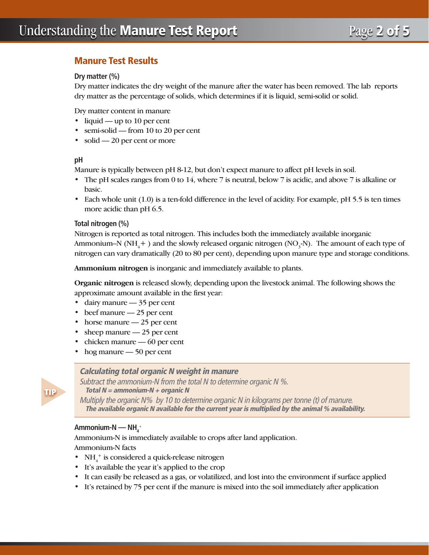# Manure Test Results

# **Dry matter (%)**

Dry matter indicates the dry weight of the manure after the water has been removed. The lab reports dry matter as the percentage of solids, which determines if it is liquid, semi-solid or solid.

Dry matter content in manure

- liquid up to 10 per cent
- semi-solid from 10 to 20 per cent
- solid 20 per cent or more

## **pH**

Manure is typically between pH 8-12, but don't expect manure to affect pH levels in soil.

- The pH scales ranges from 0 to 14, where 7 is neutral, below 7 is acidic, and above 7 is alkaline or basic.
- Each whole unit (1.0) is a ten-fold difference in the level of acidity. For example, pH 5.5 is ten times more acidic than pH 6.5.

## **Total nitrogen (%)**

Nitrogen is reported as total nitrogen. This includes both the immediately available inorganic Ammonium–N (NH<sub>4</sub>+) and the slowly released organic nitrogen (NO<sub>3</sub>-N). The amount of each type of nitrogen can vary dramatically (20 to 80 per cent), depending upon manure type and storage conditions.

**Ammonium nitrogen** is inorganic and immediately available to plants.

**Organic nitrogen** is released slowly, depending upon the livestock animal. The following shows the approximate amount available in the first year:

- dairy manure 35 per cent
- beef manure 25 per cent
- horse manure 25 per cent
- sheep manure 25 per cent
- chicken manure 60 per cent
- hog manure 50 per cent

# Calculating total organic N weight in manure

Subtract the ammonium-N from the total N to determine organic N %. Total  $N =$  ammonium-N + organic N Multiply the organic N% by 10 to determine organic N in kilograms per tonne (t) of manure. The available organic N available for the current year is multiplied by the animal % availability.

# $\mathsf{Amm}$ onium-N — NH $_{\mathsf{4}}^{\scriptscriptstyle +}$

**TIP** 

Ammonium-N is immediately available to crops after land application. Ammonium-N facts

- $NH_4^+$  is considered a quick-release nitrogen
- It's available the year it's applied to the crop
- It can easily be released as a gas, or volatilized, and lost into the environment if surface applied
- It's retained by 75 per cent if the manure is mixed into the soil immediately after application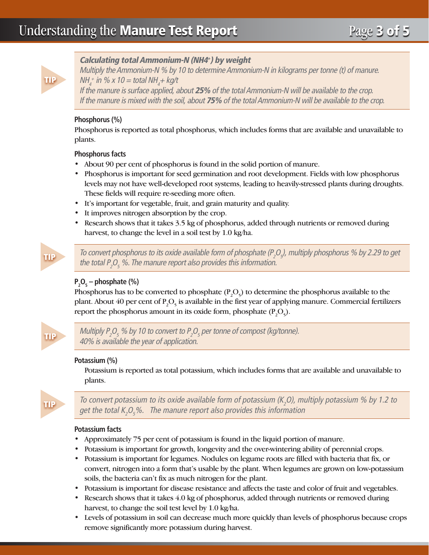

# Calculating total Ammonium-N (NH4+) by weight

Multiply the Ammonium-N % by 10 to determine Ammonium-N in kilograms per tonne (t) of manure. NH $_4^+$  in % x 10 = total NH $_4$ + kg/t

If the manure is surface applied, about 25% of the total Ammonium-N will be available to the crop. If the manure is mixed with the soil, about 75% of the total Ammonium-N will be available to the crop.

# **Phosphorus (%)**

Phosphorus is reported as total phosphorus, which includes forms that are available and unavailable to plants.

# **Phosphorus facts**

- About 90 per cent of phosphorus is found in the solid portion of manure.
- Phosphorus is important for seed germination and root development. Fields with low phosphorus levels may not have well-developed root systems, leading to heavily-stressed plants during droughts. These fields will require re-seeding more often.
- It's important for vegetable, fruit, and grain maturity and quality.
- It improves nitrogen absorption by the crop.
- Research shows that it takes 3.5 kg of phosphorus, added through nutrients or removed during harvest, to change the level in a soil test by 1.0 kg/ha.



To convert phosphorus to its oxide available form of phosphate (P<sub>2</sub>O<sub>5</sub>), multiply phosphorus % by 2.29 to get the total  $P_2O_5$  %. The manure report also provides this information.

# **P2 O5 – phosphate (%)**

Phosphorus has to be converted to phosphate  $(P_2O_5)$  to determine the phosphorus available to the plant. About 40 per cent of  $P_2O_5$  is available in the first year of applying manure. Commercial fertilizers report the phosphorus amount in its oxide form, phosphate  $(P_2O_5)$ .



Multiply P $_2$ O $_5$  % by 10 to convert to P $_2$ O $_5$  per tonne of compost (kg/tonne). 40% is available the year of application.

# **Potassium (%)**

Potassium is reported as total potassium, which includes forms that are available and unavailable to plants.



To convert potassium to its oxide available form of potassium (K<sub>2</sub>O), multiply potassium % by 1.2 to get the total K<sub>2</sub>O<sub>5</sub>%. The manure report also provides this information

# **Potassium facts**

- Approximately 75 per cent of potassium is found in the liquid portion of manure.
- Potassium is important for growth, longevity and the over-wintering ability of perennial crops.
- Potassium is important for legumes. Nodules on legume roots are filled with bacteria that fix, or convert, nitrogen into a form that's usable by the plant. When legumes are grown on low-potassium soils, the bacteria can't fix as much nitrogen for the plant.
- Potassium is important for disease resistance and affects the taste and color of fruit and vegetables.
- Research shows that it takes 4.0 kg of phosphorus, added through nutrients or removed during harvest, to change the soil test level by 1.0 kg/ha.
- Levels of potassium in soil can decrease much more quickly than levels of phosphorus because crops remove significantly more potassium during harvest.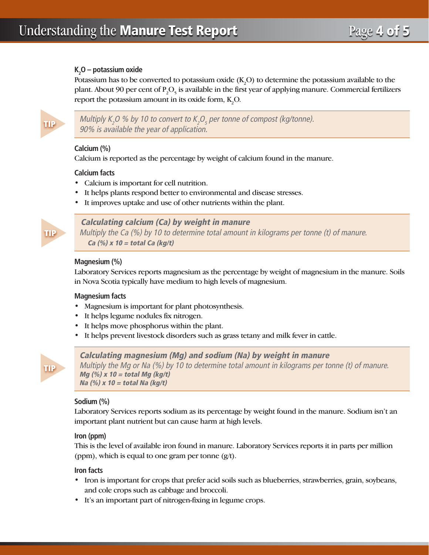# **K2 O – potassium oxide**

Potassium has to be converted to potassium oxide  $(K_2O)$  to determine the potassium available to the plant. About 90 per cent of  $P_2O_5$  is available in the first year of applying manure. Commercial fertilizers report the potassium amount in its oxide form,  $K_2O$ .



Multiply K<sub>2</sub>O % by 10 to convert to K<sub>2</sub>O<sub>5</sub> per tonne of compost (kg/tonne). 90% is available the year of application.

# **Calcium (%)**

Calcium is reported as the percentage by weight of calcium found in the manure.

## **Calcium facts**

- Calcium is important for cell nutrition.
- It helps plants respond better to environmental and disease stresses.
- It improves uptake and use of other nutrients within the plant.



# Calculating calcium (Ca) by weight in manure

Multiply the Ca (%) by 10 to determine total amount in kilograms per tonne (t) of manure. Ca  $(\%)$  x 10 = total Ca (kg/t)

## **Magnesium (%)**

Laboratory Services reports magnesium as the percentage by weight of magnesium in the manure. Soils in Nova Scotia typically have medium to high levels of magnesium.

#### **Magnesium facts**

- Magnesium is important for plant photosynthesis.
- It helps legume nodules fix nitrogen.
- It helps move phosphorus within the plant.
- It helps prevent livestock disorders such as grass tetany and milk fever in cattle.



Calculating magnesium (Mg) and sodium (Na) by weight in manure Multiply the Mg or Na (%) by 10 to determine total amount in kilograms per tonne (t) of manure. Mg  $(\%)$  x 10 = total Mg (kg/t) Na (%) x 10 = total Na (kg/t)

# **Sodium (%)**

Laboratory Services reports sodium as its percentage by weight found in the manure. Sodium isn't an important plant nutrient but can cause harm at high levels.

#### **Iron (ppm)**

This is the level of available iron found in manure. Laboratory Services reports it in parts per million (ppm), which is equal to one gram per tonne  $(g/t)$ .

#### **Iron facts**

- Iron is important for crops that prefer acid soils such as blueberries, strawberries, grain, soybeans, and cole crops such as cabbage and broccoli.
- It's an important part of nitrogen-fixing in legume crops.